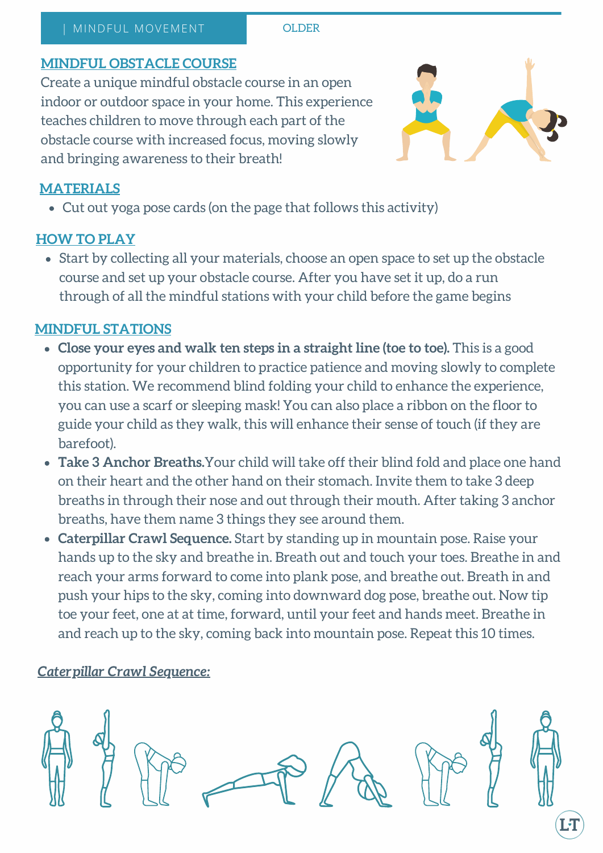#### | MINDFUL MOVEMENT | | | | | | OLDER

## **MINDFUL OBSTACLE COURSE**

Create a unique mindful obstacle course in an open indoor or outdoor space in your home. This experience teaches children to move through each part of the obstacle course with increased focus, moving slowly and bringing awareness to their breath!



# **MATERIALS**

Cut out yoga pose cards (on the page that follows this activity)

## **HOW TO PLAY**

Start by collecting all your materials, choose an open space to set up the obstacle course and set up your obstacle course. After you have set it up, do a run through of all the mindful stations with your child before the game begins

## **MINDFUL STATIONS**

- **Close your eyes and walk ten steps in a straight line (toe to toe).** This is a good opportunity for your children to practice patience and moving slowly to complete this station. We recommend blind folding your child to enhance the experience, you can use a scarf or sleeping mask! You can also place a ribbon on the floor to guide your child as they walk, this will enhance their sense of touch (if they are barefoot).
- **Take 3 Anchor Breaths.**Your child will take off their blind fold and place one hand on their heart and the other hand on their stomach. Invite them to take 3 deep breaths in through their nose and out through their mouth. After taking 3 anchor breaths, have them name 3 things they see around them.
- **Caterpillar Crawl Sequence.** Start by standing up in mountain pose. Raise your hands up to the sky and breathe in. Breath out and touch your toes. Breathe in and reach your arms forward to come into plank pose, and breathe out. Breath in and push your hips to the sky, coming into downward dog pose, breathe out. Now tip toe your feet, one at at time, forward, until your feet and hands meet. Breathe in and reach up to the sky, coming back into mountain pose. Repeat this 10 times.

## *Caterpillar Crawl Sequence:*

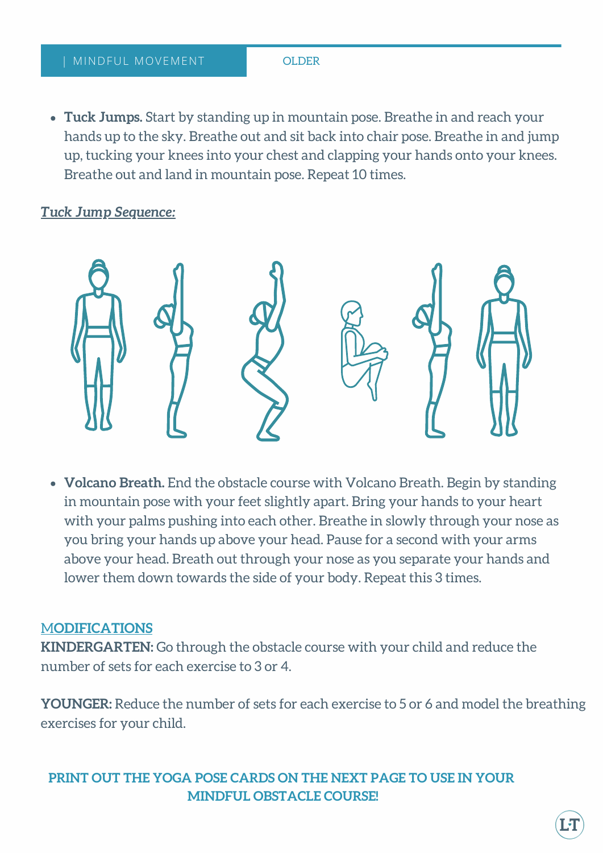**Tuck Jumps.** Start by standing up in mountain pose. Breathe in and reach your hands up to the sky. Breathe out and sit back into chair pose. Breathe in and jump up, tucking your knees into your chest and clapping your hands onto your knees. Breathe out and land in mountain pose. Repeat 10 times.

### *Tuck Jump Sequence:*



**Volcano Breath.** End the obstacle course with Volcano Breath. Begin by standing in mountain pose with your feet slightly apart. Bring your hands to your heart with your palms pushing into each other. Breathe in slowly through your nose as you bring your hands up above your head. Pause for a second with your arms above your head. Breath out through your nose as you separate your hands and lower them down towards the side of your body. Repeat this 3 times.

#### M**ODIFICATIONS**

**KINDERGARTEN:** Go through the obstacle course with your child and reduce the number of sets for each exercise to 3 or 4.

**YOUNGER:** Reduce the number of sets for each exercise to 5 or 6 and model the breathing exercises for your child.

## **PRINT OUT THE YOGA POSE CARDS ON THE NEXT PAGE TO USE IN YOUR MINDFUL OBSTACLE COURSE!**